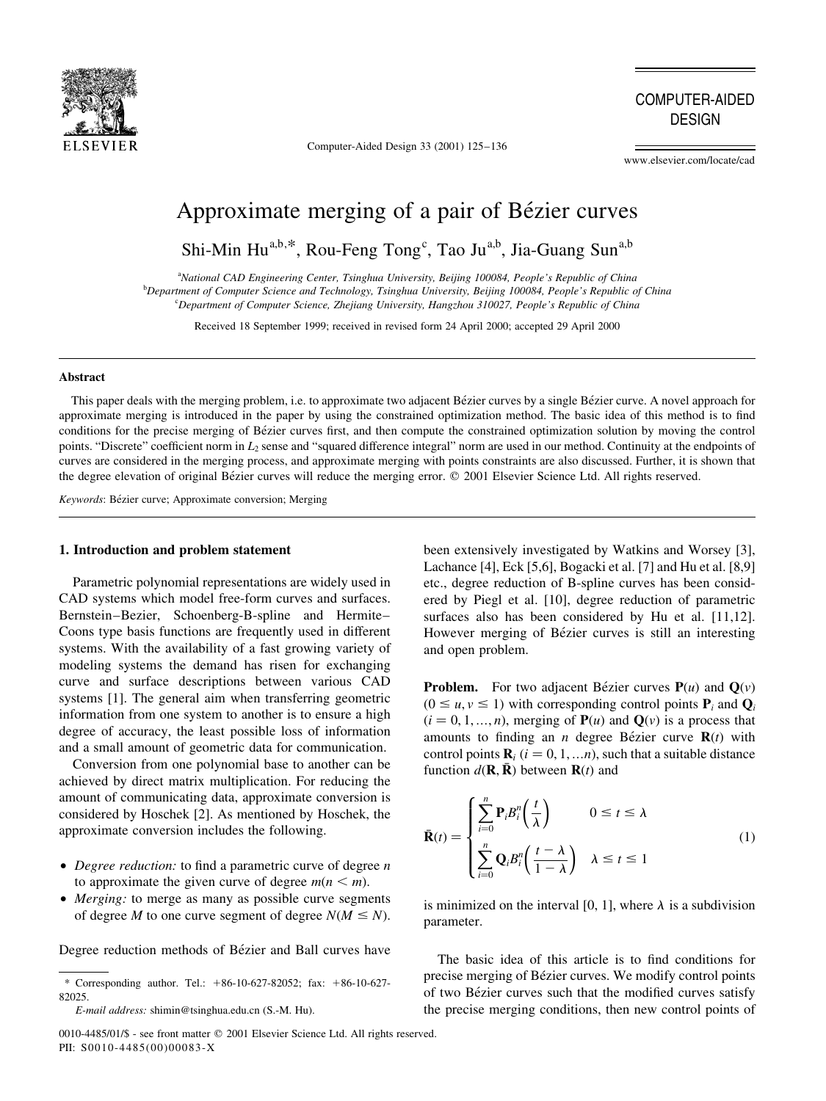

Computer-Aided Design 33 (2001) 125-136

COMPUTER-AIDED DESIGN

www.elsevier.com/locate/cad

# Approximate merging of a pair of Bézier curves

Shi-Min Hu<sup>a,b,\*</sup>, Rou-Feng Tong<sup>c</sup>, Tao Ju<sup>a,b</sup>, Jia-Guang Sun<sup>a,b</sup>

<sup>a</sup>National CAD Engineering Center, Tsinghua University, Beijing 100084, People's Republic of China b Department of Computer Science and Technology, Tsinghua University, Beijing 100084, People's Republic of China <sup>c</sup>Department of Computer Science, Zhejiang University, Hangzhou 310027, People's Republic of China

Received 18 September 1999; received in revised form 24 April 2000; accepted 29 April 2000

## Abstract

This paper deals with the merging problem, i.e. to approximate two adjacent Bézier curves by a single Bézier curve. A novel approach for approximate merging is introduced in the paper by using the constrained optimization method. The basic idea of this method is to find conditions for the precise merging of Bézier curves first, and then compute the constrained optimization solution by moving the control points. "Discrete" coefficient norm in  $L_2$  sense and "squared difference integral" norm are used in our method. Continuity at the endpoints of curves are considered in the merging process, and approximate merging with points constraints are also discussed. Further, it is shown that the degree elevation of original Bézier curves will reduce the merging error. © 2001 Elsevier Science Ltd. All rights reserved.

Keywords: Bézier curve; Approximate conversion; Merging

# 1. Introduction and problem statement

Parametric polynomial representations are widely used in CAD systems which model free-form curves and surfaces. Bernstein-Bezier, Schoenberg-B-spline and Hermite-Coons type basis functions are frequently used in different systems. With the availability of a fast growing variety of modeling systems the demand has risen for exchanging curve and surface descriptions between various CAD systems [1]. The general aim when transferring geometric information from one system to another is to ensure a high degree of accuracy, the least possible loss of information and a small amount of geometric data for communication.

Conversion from one polynomial base to another can be achieved by direct matrix multiplication. For reducing the amount of communicating data, approximate conversion is considered by Hoschek [2]. As mentioned by Hoschek, the approximate conversion includes the following.

- Degree reduction: to find a parametric curve of degree  $n$ to approximate the given curve of degree  $m(n \le m)$ .
- Merging: to merge as many as possible curve segments of degree M to one curve segment of degree  $N(M \le N)$ .

Degree reduction methods of Bézier and Ball curves have

0010-4485/01/\$ - see front matter © 2001 Elsevier Science Ltd. All rights reserved. PII: S0010-4485(00)00083-X

been extensively investigated by Watkins and Worsey [3], Lachance [4], Eck [5,6], Bogacki et al. [7] and Hu et al. [8,9] etc., degree reduction of B-spline curves has been considered by Piegl et al. [10], degree reduction of parametric surfaces also has been considered by Hu et al. [11,12]. However merging of Bézier curves is still an interesting and open problem.

**Problem.** For two adjacent Bézier curves  $P(u)$  and  $Q(v)$  $(0 \le u, v \le 1)$  with corresponding control points  $P_i$  and  $Q_i$  $(i = 0, 1, ..., n)$ , merging of  $P(u)$  and  $Q(v)$  is a process that amounts to finding an *n* degree Bézier curve  $R(t)$  with control points  $\mathbf{R}_i$  ( $i = 0, 1, \dots n$ ), such that a suitable distance function  $d(\mathbf{R}, \bar{\mathbf{R}})$  between  $\mathbf{R}(t)$  and

$$
\bar{\mathbf{R}}(t) = \begin{cases}\n\sum_{i=0}^{n} \mathbf{P}_{i} B_{i}^{n} \left(\frac{t}{\lambda}\right) & 0 \leq t \leq \lambda \\
\sum_{i=0}^{n} \mathbf{Q}_{i} B_{i}^{n} \left(\frac{t-\lambda}{1-\lambda}\right) & \lambda \leq t \leq 1\n\end{cases}
$$
\n(1)

is minimized on the interval [0, 1], where  $\lambda$  is a subdivision parameter.

The basic idea of this article is to find conditions for precise merging of Bézier curves. We modify control points of two Bézier curves such that the modified curves satisfy the precise merging conditions, then new control points of

<sup>\*</sup> Corresponding author. Tel.: 186-10-627-82052; fax: 186-10-627- 82025

E-mail address: shimin@tsinghua.edu.cn (S.-M. Hu).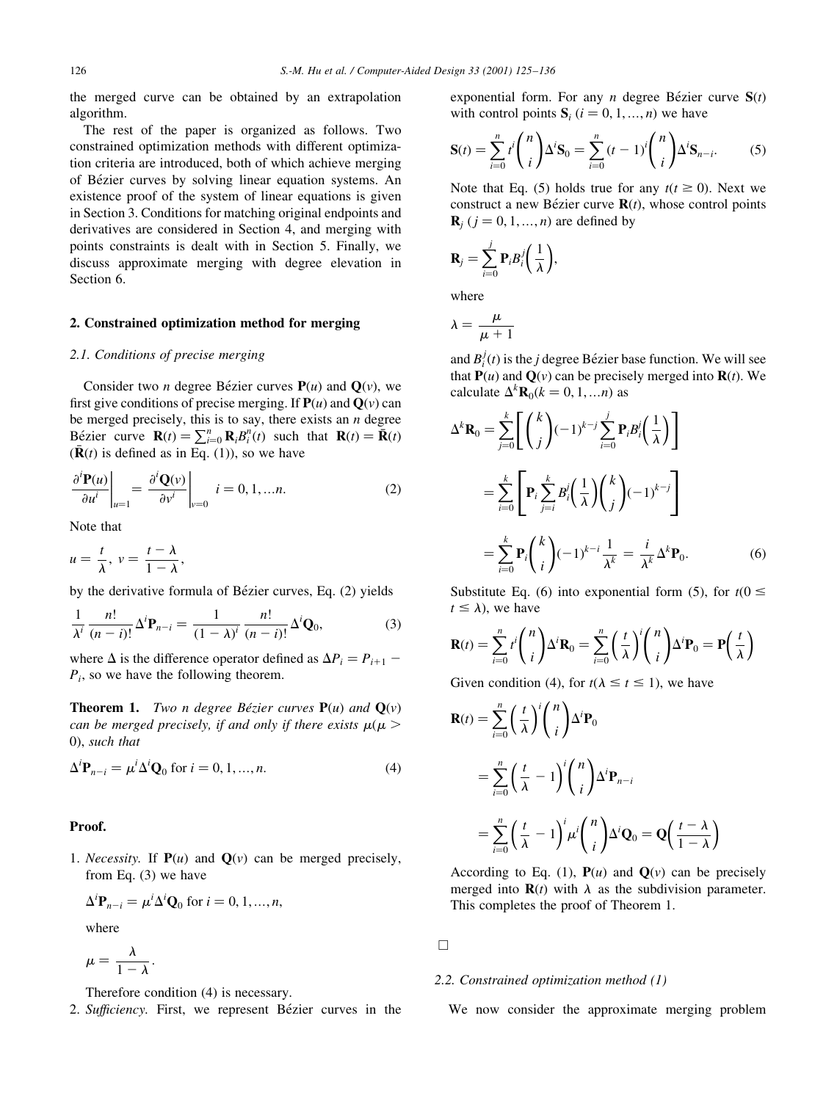the merged curve can be obtained by an extrapolation algorithm.

The rest of the paper is organized as follows. Two constrained optimization methods with different optimization criteria are introduced, both of which achieve merging of Bézier curves by solving linear equation systems. An existence proof of the system of linear equations is given in Section 3. Conditions for matching original endpoints and derivatives are considered in Section 4, and merging with points constraints is dealt with in Section 5. Finally, we discuss approximate merging with degree elevation in Section 6.

## 2. Constrained optimization method for merging

#### 2.1. Conditions of precise merging

Consider two *n* degree Bézier curves  $P(u)$  and  $Q(v)$ , we first give conditions of precise merging. If  $P(u)$  and  $Q(v)$  can be merged precisely, this is to say, there exists an  $n$  degree Bézier curve  $\mathbf{R}(t) = \sum_{i=0}^{n} \mathbf{R}_i B_i^n(t)$  such that  $\mathbf{R}(t) = \mathbf{R}(t)$  $(\mathbf{R}(t))$  is defined as in Eq. (1)), so we have

$$
\left. \frac{\partial^i \mathbf{P}(u)}{\partial u^i} \right|_{u=1} = \left. \frac{\partial^i \mathbf{Q}(v)}{\partial v^i} \right|_{v=0} \quad i = 0, 1, \dots n. \tag{2}
$$

Note that

$$
u=\frac{t}{\lambda},\ v=\frac{t-\lambda}{1-\lambda},
$$

by the derivative formula of Bézier curves, Eq. (2) yields

$$
\frac{1}{\lambda^i} \frac{n!}{(n-i)!} \Delta^i \mathbf{P}_{n-i} = \frac{1}{(1-\lambda)^i} \frac{n!}{(n-i)!} \Delta^i \mathbf{Q}_0,
$$
 (3)

where  $\Delta$  is the difference operator defined as  $\Delta P_i = P_{i+1}$  –  $P_i$ , so we have the following theorem.

**Theorem 1.** Two n degree Bézier curves  $P(u)$  and  $Q(v)$ can be merged precisely, if and only if there exists  $\mu(\mu >$ 0; such that

$$
\Delta^i \mathbf{P}_{n-i} = \mu^i \Delta^i \mathbf{Q}_0 \text{ for } i = 0, 1, ..., n. \tag{4}
$$

## Proof.

1. *Necessity*. If  $P(u)$  and  $Q(v)$  can be merged precisely, from Eq. (3) we have

$$
\Delta^i \mathbf{P}_{n-i} = \mu^i \Delta^i \mathbf{Q}_0 \text{ for } i = 0, 1, ..., n,
$$

where

$$
\mu=\frac{\lambda}{1-\lambda}.
$$

Therefore condition (4) is necessary.

2. Sufficiency. First, we represent Bézier curves in the

exponential form. For any *n* degree Bézier curve  $S(t)$ with control points  $S_i$   $(i = 0, 1, ..., n)$  we have

$$
\mathbf{S}(t) = \sum_{i=0}^{n} t^{i} \binom{n}{i} \Delta^{i} \mathbf{S}_{0} = \sum_{i=0}^{n} (t-1)^{i} \binom{n}{i} \Delta^{i} \mathbf{S}_{n-i}.
$$
 (5)

Note that Eq. (5) holds true for any  $t(t \ge 0)$ . Next we construct a new Bézier curve  $R(t)$ , whose control points  ${\bf R}_i$  ( $j = 0, 1, ..., n$ ) are defined by

$$
\mathbf{R}_j = \sum_{i=0}^j \mathbf{P}_i B_i^j \bigg(\frac{1}{\lambda}\bigg),\,
$$

where

$$
\lambda = \frac{\mu}{\mu + 1}
$$

and  $B_i^j(t)$  is the *j* degree Bézier base function. We will see that  $P(u)$  and  $Q(v)$  can be precisely merged into  $R(t)$ . We calculate  $\Delta^k \mathbf{R}_0(k=0,1,...n)$  as

$$
\Delta^{k} \mathbf{R}_{0} = \sum_{j=0}^{k} \left[ \binom{k}{j} (-1)^{k-j} \sum_{i=0}^{j} \mathbf{P}_{i} B_{i}^{j} \left( \frac{1}{\lambda} \right) \right]
$$

$$
= \sum_{i=0}^{k} \left[ \mathbf{P}_{i} \sum_{j=i}^{k} B_{i}^{j} \left( \frac{1}{\lambda} \right) \binom{k}{j} (-1)^{k-j} \right]
$$

$$
= \sum_{i=0}^{k} \mathbf{P}_{i} \binom{k}{i} (-1)^{k-i} \frac{1}{\lambda^{k}} = \frac{i}{\lambda^{k}} \Delta^{k} \mathbf{P}_{0}.
$$
(6)

Substitute Eq. (6) into exponential form (5), for  $t(0 \le$  $t \leq \lambda$ ), we have

$$
\mathbf{R}(t) = \sum_{i=0}^{n} t^{i} \binom{n}{i} \Delta^{i} \mathbf{R}_{0} = \sum_{i=0}^{n} \left(\frac{t}{\lambda}\right)^{i} \binom{n}{i} \Delta^{i} \mathbf{P}_{0} = \mathbf{P}\left(\frac{t}{\lambda}\right)
$$

Given condition (4), for  $t(\lambda \le t \le 1)$ , we have

$$
\mathbf{R}(t) = \sum_{i=0}^{n} \left(\frac{t}{\lambda}\right)^{i} \binom{n}{i} \Delta^{i} \mathbf{P}_{0}
$$
  
= 
$$
\sum_{i=0}^{n} \left(\frac{t}{\lambda} - 1\right)^{i} \binom{n}{i} \Delta^{i} \mathbf{P}_{n-i}
$$
  
= 
$$
\sum_{i=0}^{n} \left(\frac{t}{\lambda} - 1\right)^{i} \mu^{i} \binom{n}{i} \Delta^{i} \mathbf{Q}_{0} = \mathbf{Q} \left(\frac{t - \lambda}{1 - \lambda}\right)
$$

According to Eq. (1),  $P(u)$  and  $Q(v)$  can be precisely merged into  $\mathbf{R}(t)$  with  $\lambda$  as the subdivision parameter. This completes the proof of Theorem 1.

 $\Box$ 

## 2.2. Constrained optimization method (1)

We now consider the approximate merging problem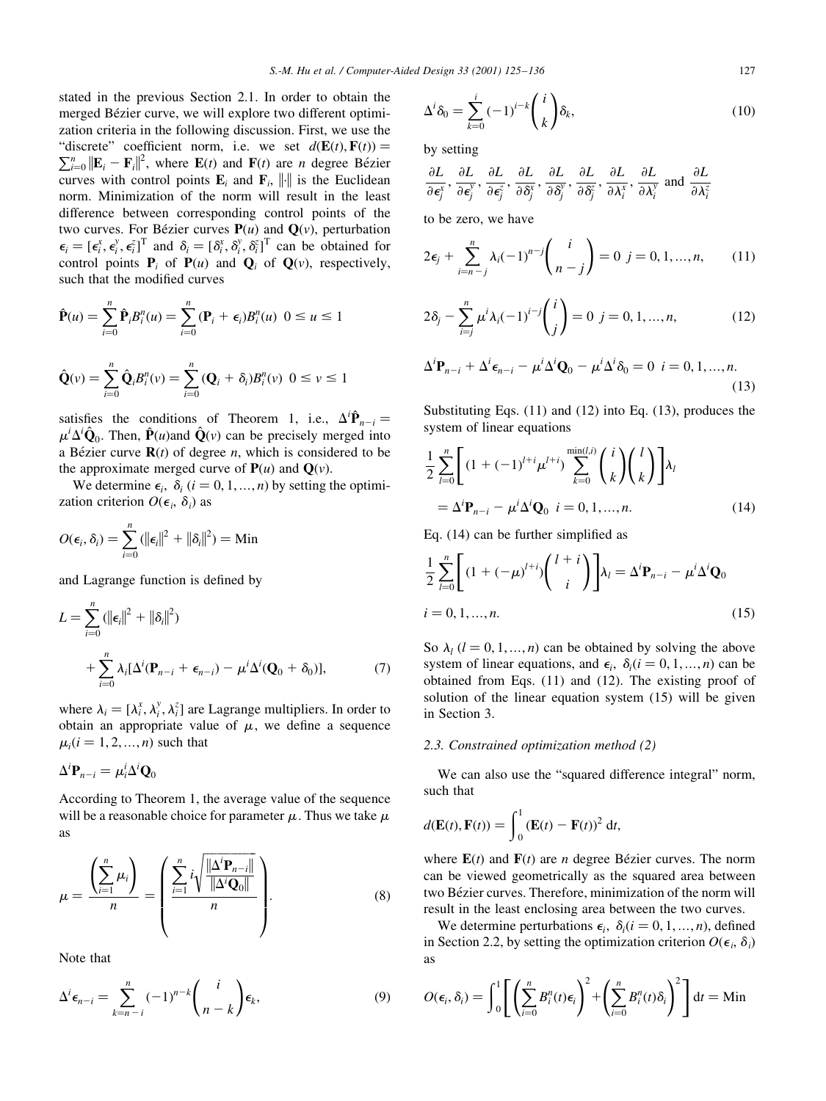stated in the previous Section 2.1. In order to obtain the merged Bézier curve, we will explore two different optimization criteria in the following discussion. First, we use the "discrete" coefficient norm, i.e. we set  $d(\mathbf{E}(t), \mathbf{F}(t)) =$  $\sum_{i=0}^{n} ||\mathbf{E}_i - \mathbf{F}_i||^2$ , where  $\mathbf{E}(t)$  and  $\mathbf{F}(t)$  are *n* degree Bézier curves with control points  $\mathbf{E}_i$  and  $\mathbf{F}_i$ , || is the Euclidean norm. Minimization of the norm will result in the least difference between corresponding control points of the two curves. For Bézier curves  $P(u)$  and  $Q(v)$ , perturbation  $\epsilon_i = [\epsilon_i^x, \epsilon_i^y, \epsilon_i^z]^T$  and  $\delta_i = [\delta_i^x, \delta_i^y, \delta_i^z]^T$  can be obtained for control points  $P_i$  of  $P(u)$  and  $Q_i$  of  $Q(v)$ , respectively, such that the modified curves

$$
\hat{\mathbf{P}}(u) = \sum_{i=0}^{n} \hat{\mathbf{P}}_i B_i^n(u) = \sum_{i=0}^{n} (\mathbf{P}_i + \epsilon_i) B_i^n(u) \ \ 0 \le u \le 1
$$

$$
\hat{\mathbf{Q}}(\nu) = \sum_{i=0}^{n} \hat{\mathbf{Q}}_{i} B_{i}^{n}(\nu) = \sum_{i=0}^{n} (\mathbf{Q}_{i} + \delta_{i}) B_{i}^{n}(\nu) \ \ 0 \leq \nu \leq 1
$$

satisfies the conditions of Theorem 1, i.e.,  $\Delta^i \hat{P}_{n-i} =$  $\mu^i \Delta^i \hat{\mathbf{Q}}_0$ . Then,  $\hat{\mathbf{P}}(\mu)$  and  $\hat{\mathbf{Q}}(\nu)$  can be precisely merged into a Bézier curve  $\mathbf{R}(t)$  of degree *n*, which is considered to be the approximate merged curve of  $P(u)$  and  $Q(v)$ .

We determine  $\epsilon_i$ ,  $\delta_i$  ( $i = 0, 1, ..., n$ ) by setting the optimization criterion  $O(\epsilon_i, \delta_i)$  as

$$
O(\epsilon_i, \delta_i) = \sum_{i=0}^n (||\epsilon_i||^2 + ||\delta_i||^2) = \text{Min}
$$

and Lagrange function is defined by

$$
L = \sum_{i=0}^{n} (||\boldsymbol{\epsilon}_{i}||^{2} + ||\boldsymbol{\delta}_{i}||^{2})
$$
  
+ 
$$
\sum_{i=0}^{n} \lambda_{i} [\Delta^{i}(\mathbf{P}_{n-i} + \boldsymbol{\epsilon}_{n-i}) - \mu^{i} \Delta^{i}(\mathbf{Q}_{0} + \boldsymbol{\delta}_{0})],
$$
 (7)

where  $\lambda_i = [\lambda_i^x, \lambda_i^y, \lambda_i^z]$  are Lagrange multipliers. In order to obtain an appropriate value of  $\mu$ , we define a sequence  $\mu_i$  (*i* = 1, 2, ..., *n*) such that

$$
\Delta^i \mathbf{P}_{n-i} = \mu_i^i \Delta^i \mathbf{Q}_0
$$

According to Theorem 1, the average value of the sequence will be a reasonable choice for parameter  $\mu$ . Thus we take  $\mu$ as

$$
\mu = \frac{\left(\sum_{i=1}^n \mu_i\right)}{n} = \left(\frac{\sum_{i=1}^n i \sqrt{\frac{\|\Delta^i \mathbf{P}_{n-i}\|}{\|\Delta^i \mathbf{Q}_0\|}}}{n}\right).
$$
(8)

Note that

$$
\Delta^i \epsilon_{n-i} = \sum_{k=n-i}^n (-1)^{n-k} \binom{i}{n-k} \epsilon_k,
$$
\n(9)

$$
\Delta^i \delta_0 = \sum_{k=0}^i (-1)^{i-k} \binom{i}{k} \delta_k,\tag{10}
$$

by setting

$$
\frac{\partial L}{\partial \epsilon_j^x}, \frac{\partial L}{\partial \epsilon_j^y}, \frac{\partial L}{\partial \epsilon_j^z}, \frac{\partial L}{\partial \delta_j^x}, \frac{\partial L}{\partial \delta_j^y}, \frac{\partial L}{\partial \delta_j^z}, \frac{\partial L}{\partial \lambda_i^x}, \frac{\partial L}{\partial \lambda_i^y}
$$
 and 
$$
\frac{\partial L}{\partial \lambda_i^z}
$$

to be zero, we have

$$
2\epsilon_j + \sum_{i=n-j}^n \lambda_i (-1)^{n-j} {i \choose n-j} = 0 \ \ j = 0, 1, ..., n,
$$
 (11)

$$
2\delta_j - \sum_{i=j}^n \mu^i \lambda_i (-1)^{i-j} \binom{i}{j} = 0 \ \ j = 0, 1, ..., n,
$$
 (12)

$$
\Delta^i \mathbf{P}_{n-i} + \Delta^i \epsilon_{n-i} - \mu^i \Delta^i \mathbf{Q}_0 - \mu^i \Delta^i \delta_0 = 0 \quad i = 0, 1, ..., n.
$$
\n(13)

Substituting Eqs. (11) and (12) into Eq. (13), produces the system of linear equations

$$
\frac{1}{2} \sum_{l=0}^{n} \left[ (1 + (-1)^{l+i} \mu^{l+i}) \sum_{k=0}^{\min(l,i)} \binom{i}{k} \binom{l}{k} \right] \lambda_{l}
$$

$$
= \Delta^{i} \mathbf{P}_{n-i} - \mu^{i} \Delta^{i} \mathbf{Q}_{0} \quad i = 0, 1, ..., n. \tag{14}
$$

Eq.  $(14)$  can be further simplified as

$$
\frac{1}{2}\sum_{l=0}^{n} \left[ (1+(-\mu)^{l+i}) \binom{l+i}{i} \right] \lambda_{l} = \Delta^{i} \mathbf{P}_{n-i} - \mu^{i} \Delta^{i} \mathbf{Q}_{0}
$$
\n
$$
i = 0, 1, ..., n. \tag{15}
$$

So  $\lambda_l$  ( $l = 0, 1, ..., n$ ) can be obtained by solving the above system of linear equations, and  $\epsilon_i$ ,  $\delta_i$  ( $i = 0, 1, ..., n$ ) can be obtained from Eqs. (11) and (12). The existing proof of solution of the linear equation system (15) will be given in Section 3.

## 2.3. Constrained optimization method (2)

We can also use the "squared difference integral" norm, such that

$$
d(\mathbf{E}(t), \mathbf{F}(t)) = \int_0^1 (\mathbf{E}(t) - \mathbf{F}(t))^2 dt,
$$

where  $E(t)$  and  $F(t)$  are *n* degree Bézier curves. The norm can be viewed geometrically as the squared area between two Bézier curves. Therefore, minimization of the norm will result in the least enclosing area between the two curves.

We determine perturbations  $\epsilon_i$ ,  $\delta_i$  (i = 0, 1, ..., n), defined in Section 2.2, by setting the optimization criterion  $O(\epsilon_i, \delta_i)$ as

$$
O(\epsilon_i, \delta_i) = \int_0^1 \left[ \left( \sum_{i=0}^n B_i^n(t) \epsilon_i \right)^2 + \left( \sum_{i=0}^n B_i^n(t) \delta_i \right)^2 \right] dt = \text{Min}
$$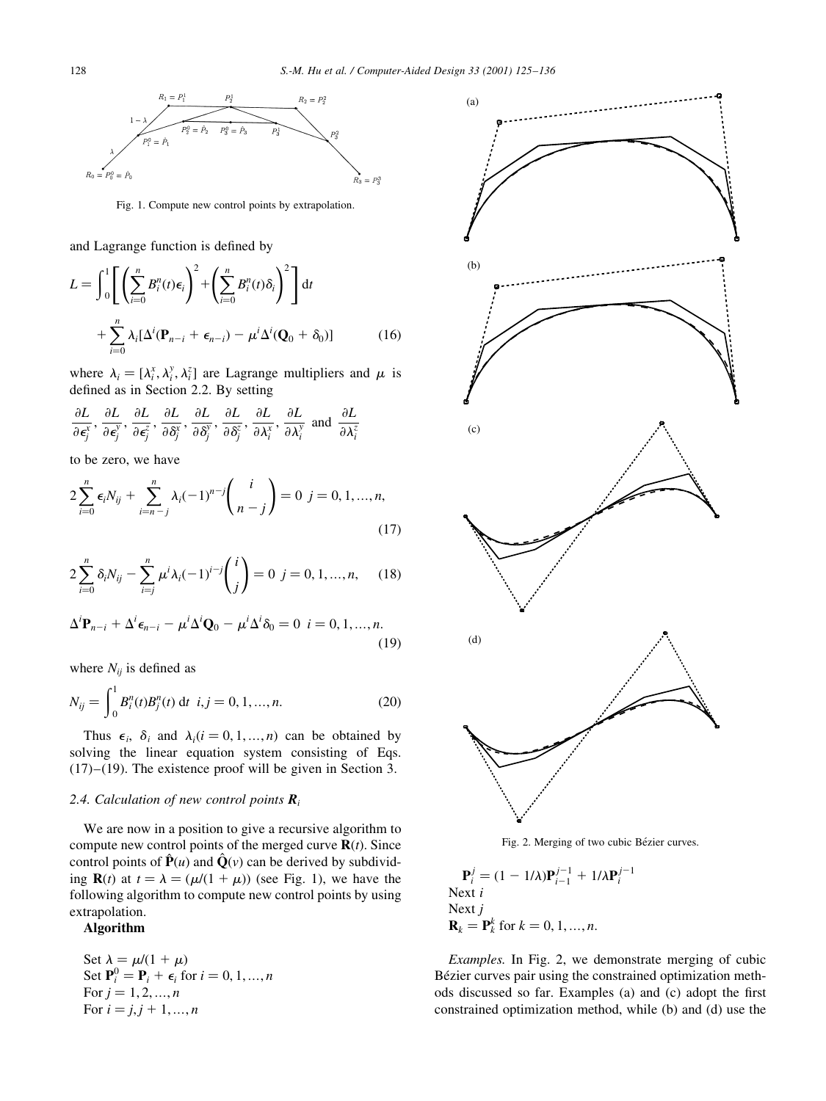

Fig. 1. Compute new control points by extrapolation.

and Lagrange function is defined by

$$
L = \int_0^1 \left[ \left( \sum_{i=0}^n B_i^n(t) \epsilon_i \right)^2 + \left( \sum_{i=0}^n B_i^n(t) \delta_i \right)^2 \right] dt
$$
  
+ 
$$
\sum_{i=0}^n \lambda_i [\Delta^i(\mathbf{P}_{n-i} + \epsilon_{n-i}) - \mu^i \Delta^i(\mathbf{Q}_0 + \delta_0)]
$$
(16)

where  $\lambda_i = [\lambda_i^x, \lambda_i^y, \lambda_i^z]$  are Lagrange multipliers and  $\mu$  is defined as in Section 2.2. By setting

$$
\frac{\partial L}{\partial \epsilon_j^x}, \frac{\partial L}{\partial \epsilon_j^y}, \frac{\partial L}{\partial \epsilon_j^z}, \frac{\partial L}{\partial \delta_j^x}, \frac{\partial L}{\partial \delta_j^y}, \frac{\partial L}{\partial \delta_j^z}, \frac{\partial L}{\partial \lambda_i^x}, \frac{\partial L}{\partial \lambda_i^y}
$$
 and  $\frac{\partial L}{\partial \lambda_i^z}$ 

to be zero, we have

$$
2\sum_{i=0}^{n} \epsilon_i N_{ij} + \sum_{i=n-j}^{n} \lambda_i (-1)^{n-j} {i \choose n-j} = 0 \ \ j = 0, 1, ..., n,
$$
\n(17)

$$
2\sum_{i=0}^{n} \delta_i N_{ij} - \sum_{i=j}^{n} \mu^{i} \lambda_i (-1)^{i-j} {i \choose j} = 0 \ \ j = 0, 1, ..., n, \qquad (18)
$$

$$
\Delta^i \mathbf{P}_{n-i} + \Delta^i \epsilon_{n-i} - \mu^i \Delta^i \mathbf{Q}_0 - \mu^i \Delta^i \delta_0 = 0 \quad i = 0, 1, ..., n.
$$
\n(19)

where  $N_{ij}$  is defined as

$$
N_{ij} = \int_0^1 B_i^n(t) B_j^n(t) \, \mathrm{d}t \, i, j = 0, 1, \dots, n. \tag{20}
$$

Thus  $\epsilon_i$ ,  $\delta_i$  and  $\lambda_i$  ( $i = 0, 1, ..., n$ ) can be obtained by solving the linear equation system consisting of Eqs.  $(17)-(19)$ . The existence proof will be given in Section 3.

## 2.4. Calculation of new control points  $\mathbf{R}_i$

We are now in a position to give a recursive algorithm to compute new control points of the merged curve  $\mathbf{R}(t)$ . Since control points of  $\hat{\mathbf{P}}(u)$  and  $\hat{\mathbf{Q}}(v)$  can be derived by subdividing **R**(t) at  $t = \lambda = (\mu/(1 + \mu))$  (see Fig. 1), we have the following algorithm to compute new control points by using extrapolation.

# Algorithm

Set  $\lambda = \mu/(1 + \mu)$ Set  $\mathbf{P}_i^0 = \mathbf{P}_i + \boldsymbol{\epsilon}_i$  for  $i = 0, 1, ..., n$ For  $j = 1, 2, ..., n$ For  $i = j, j + 1, ..., n$ 



Fig. 2. Merging of two cubic Bézier curves.

$$
\mathbf{P}_i^j = (1 - 1/\lambda)\mathbf{P}_{i-1}^{j-1} + 1/\lambda\mathbf{P}_i^{j-1}
$$
  
Next *i*  
Next *j*  

$$
\mathbf{R}_k = \mathbf{P}_k^k
$$
 for  $k = 0, 1, ..., n$ .

Examples. In Fig. 2, we demonstrate merging of cubic Bézier curves pair using the constrained optimization methods discussed so far. Examples (a) and (c) adopt the first constrained optimization method, while (b) and (d) use the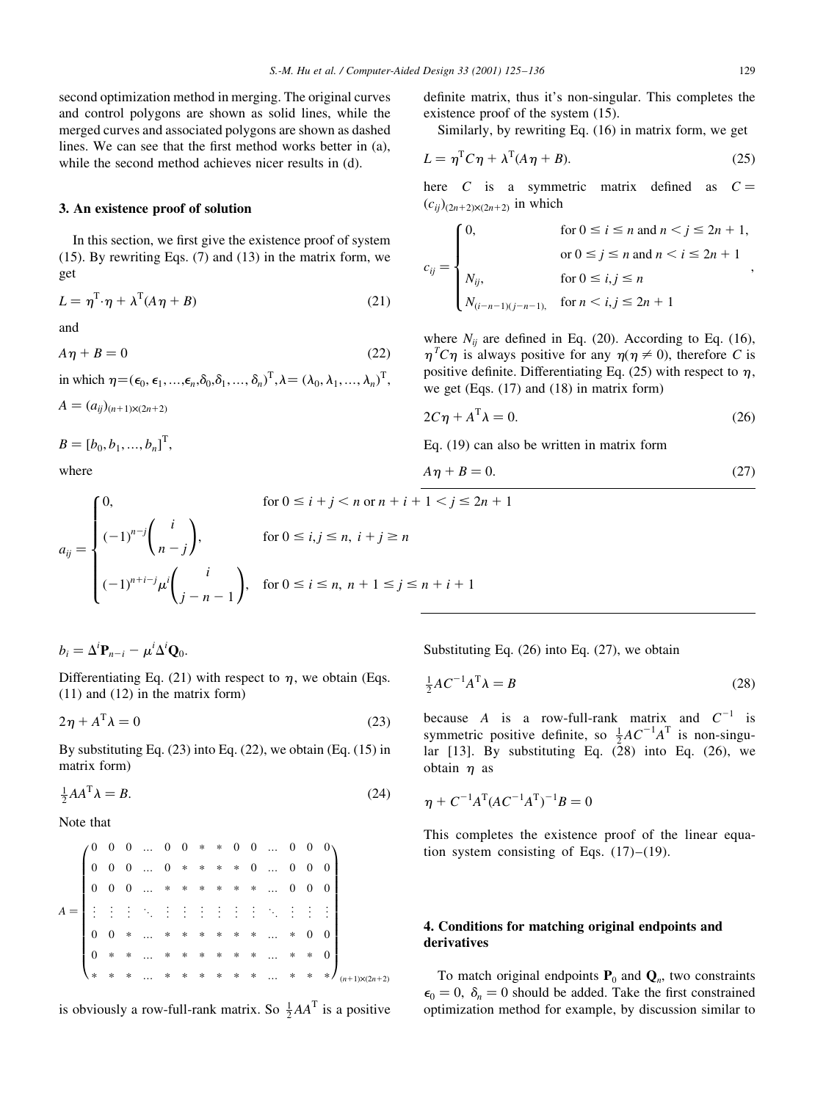second optimization method in merging. The original curves and control polygons are shown as solid lines, while the merged curves and associated polygons are shown as dashed lines. We can see that the first method works better in (a), while the second method achieves nicer results in (d).

## 3. An existence proof of solution

In this section, we first give the existence proof of system (15). By rewriting Eqs. (7) and (13) in the matrix form, we get

$$
L = \eta^{\mathrm{T}} \cdot \eta + \lambda^{\mathrm{T}} (A \eta + B) \tag{21}
$$

and

 $A\eta + B = 0$  (22)

in which  $\eta = (\epsilon_0, \epsilon_1, ..., \epsilon_n, \delta_0, \delta_1, ..., \delta_n)^T, \lambda = (\lambda_0, \lambda_1, ..., \lambda_n)^T$ ,

 $A = (a_{ii})_{(n+1)\times(2n+2)}$ 

 $B = [b_0, b_1, ..., b_n]^{\mathrm{T}},$ 

where

$$
a_{ij} = \begin{cases} 0, & \text{for } 0 \le i + j < n \text{ or } n + i + 1 < j \le 2n + 1 \\ (-1)^{n-j} \binom{i}{n-j}, & \text{for } 0 \le i, j \le n, \ i + j \ge n \\ (-1)^{n+i-j} \mu^i \binom{i}{j-n-1}, & \text{for } 0 \le i \le n, \ n+1 \le j \le n+i+1 \end{cases}
$$

 $b_i = \Delta^i \mathbf{P}_{n-i} - \mu^i \Delta^i \mathbf{Q}_0.$ 

Differentiating Eq. (21) with respect to  $\eta$ , we obtain (Eqs. (11) and (12) in the matrix form)

$$
2\eta + A^{\mathrm{T}}\lambda = 0\tag{23}
$$

By substituting Eq. (23) into Eq. (22), we obtain (Eq. (15) in matrix form)

$$
\frac{1}{2}AA^T\lambda = B. \tag{24}
$$

Note that

|  |  |  |  |  |  |  | $\left(\begin{matrix} 0 & 0 & 0 & \dots & 0 & 0 & * & * & 0 & 0 & \dots & 0 & 0 & 0 \\ 0 & 0 & 0 & \dots & 0 & * & * & * & * & 0 & \dots & 0 & 0 & 0 \\ 0 & 0 & 0 & \dots & * & * & * & * & * & \dots & 0 & 0 & 0 \end{matrix}\right)$ |  |
|--|--|--|--|--|--|--|----------------------------------------------------------------------------------------------------------------------------------------------------------------------------------------------------------------------------------------|--|
|  |  |  |  |  |  |  |                                                                                                                                                                                                                                        |  |
|  |  |  |  |  |  |  |                                                                                                                                                                                                                                        |  |
|  |  |  |  |  |  |  |                                                                                                                                                                                                                                        |  |
|  |  |  |  |  |  |  | * * * * * *  * * * $\big _h$                                                                                                                                                                                                           |  |

is obviously a row-full-rank matrix. So  $\frac{1}{2}AA^T$  is a positive

definite matrix, thus it's non-singular. This completes the existence proof of the system (15).

Similarly, by rewriting Eq. (16) in matrix form, we get

$$
L = \eta^{\mathrm{T}} C \eta + \lambda^{\mathrm{T}} (A \eta + B). \tag{25}
$$

here C is a symmetric matrix defined as  $C =$  $(c_{ii})_{(2n+2)\times(2n+2)}$  in which

$$
c_{ij} = \begin{cases} 0, & \text{for } 0 \le i \le n \text{ and } n < j \le 2n + 1, \\ & \text{or } 0 \le j \le n \text{ and } n < i \le 2n + 1 \\ N_{ij}, & \text{for } 0 \le i, j \le n \\ N_{(i-n-1)(j-n-1)}, & \text{for } n < i, j \le 2n + 1 \end{cases}
$$

where  $N_{ij}$  are defined in Eq. (20). According to Eq. (16),  $\eta^T C \eta$  is always positive for any  $\eta(\eta \neq 0)$ , therefore C is positive definite. Differentiating Eq. (25) with respect to  $\eta$ , we get (Eqs. (17) and (18) in matrix form)

$$
2C\eta + A^{\mathrm{T}}\lambda = 0. \tag{26}
$$

Eq. (19) can also be written in matrix form

$$
A\eta + B = 0.\t(27)
$$

Substituting Eq. 
$$
(26)
$$
 into Eq.  $(27)$ , we obtain

$$
\frac{1}{2}AC^{-1}A^{T}\lambda = B
$$
 (28)

because A is a row-full-rank matrix and  $C^{-1}$  is symmetric positive definite, so  $\frac{1}{2}AC^{-1}A^{T}$  is non-singular [13]. By substituting Eq.  $(28)$  into Eq.  $(26)$ , we obtain  $\eta$  as

$$
\eta + C^{-1}A^{T}(AC^{-1}A^{T})^{-1}B = 0
$$

This completes the existence proof of the linear equation system consisting of Eqs.  $(17)-(19)$ .

# 4. Conditions for matching original endpoints and derivatives

To match original endpoints  $P_0$  and  $Q_n$ , two constraints  $\epsilon_0 = 0$ ,  $\delta_n = 0$  should be added. Take the first constrained optimization method for example, by discussion similar to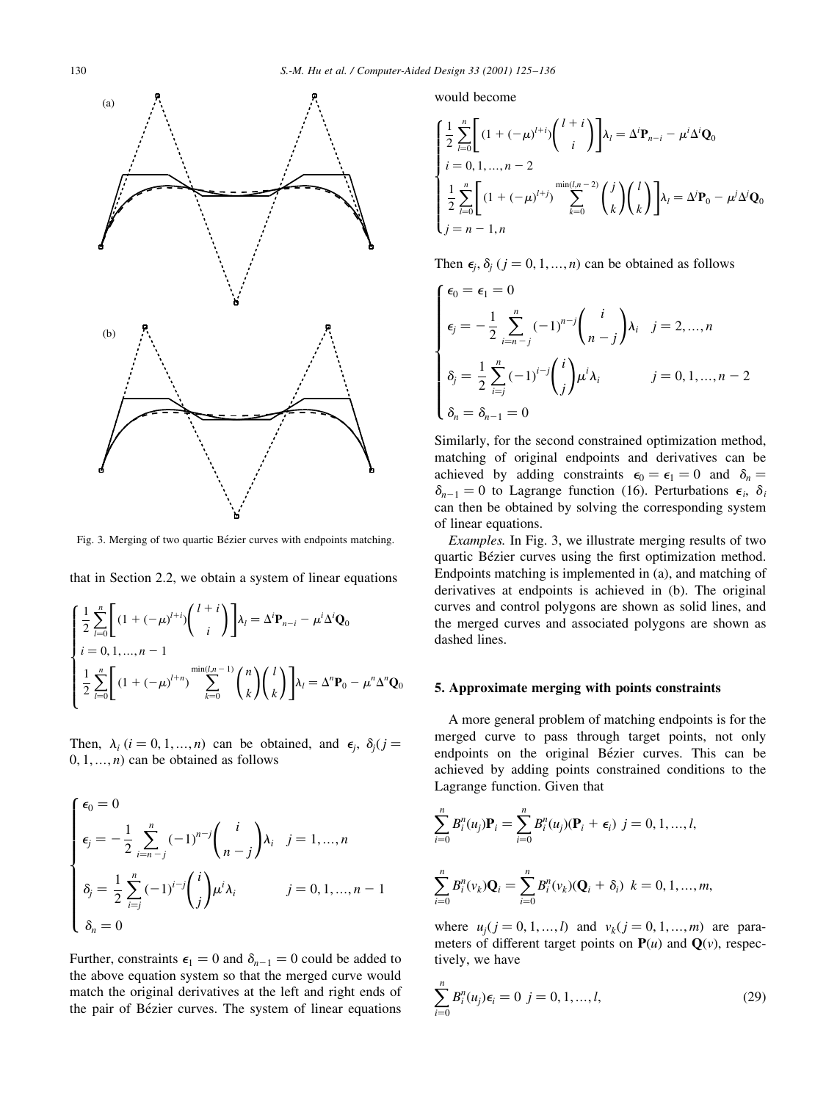

Fig. 3. Merging of two quartic Bézier curves with endpoints matching.

that in Section 2.2, we obtain a system of linear equations

$$
\begin{cases}\n\frac{1}{2} \sum_{l=0}^{n} \left[ (1 + (-\mu)^{l+i}) \binom{l+i}{i} \right] \lambda_l = \Delta^i \mathbf{P}_{n-i} - \mu^i \Delta^i \mathbf{Q}_0 \\
i = 0, 1, \dots, n-1 \\
\frac{1}{2} \sum_{l=0}^{n} \left[ (1 + (-\mu)^{l+n}) \sum_{k=0}^{\min(l,n-1)} \binom{n}{k} \binom{l}{k} \right] \lambda_l = \Delta^n \mathbf{P}_0 - \mu^n \Delta^n \mathbf{Q}_0\n\end{cases}
$$

Then,  $\lambda_i$  (i = 0, 1, ..., n) can be obtained, and  $\epsilon_i$ ,  $\delta_i$  (j =  $0, 1, \ldots, n$  can be obtained as follows

$$
\begin{cases}\n\epsilon_0 = 0 \\
\epsilon_j = -\frac{1}{2} \sum_{i=n-j}^n (-1)^{n-j} \binom{i}{n-j} \lambda_i & j = 1, ..., n \\
\delta_j = \frac{1}{2} \sum_{i=j}^n (-1)^{i-j} \binom{i}{j} \mu^j \lambda_i & j = 0, 1, ..., n-1 \\
\delta_n = 0\n\end{cases}
$$

Further, constraints  $\epsilon_1 = 0$  and  $\delta_{n-1} = 0$  could be added to the above equation system so that the merged curve would match the original derivatives at the left and right ends of the pair of Bézier curves. The system of linear equations would become

$$
\begin{cases}\n\frac{1}{2} \sum_{l=0}^{n} \left[ (1 + (-\mu)^{l+i}) \binom{l+i}{i} \right] \lambda_{l} = \Delta^{i} \mathbf{P}_{n-i} - \mu^{i} \Delta^{i} \mathbf{Q}_{0} \\
i = 0, 1, ..., n-2 \\
\frac{1}{2} \sum_{l=0}^{n} \left[ (1 + (-\mu)^{l+j}) \sum_{k=0}^{\min(l,n-2)} \binom{j}{k} \binom{l}{k} \right] \lambda_{l} = \Delta^{j} \mathbf{P}_{0} - \mu^{j} \Delta^{j} \mathbf{Q}_{0} \\
j = n-1, n\n\end{cases}
$$

Then  $\epsilon_j$ ,  $\delta_j$  ( $j = 0, 1, ..., n$ ) can be obtained as follows

$$
\begin{cases}\n\epsilon_0 = \epsilon_1 = 0 \\
\epsilon_j = -\frac{1}{2} \sum_{i=n-j}^n (-1)^{n-j} \binom{i}{n-j} \lambda_i & j = 2, ..., n \\
\delta_j = \frac{1}{2} \sum_{i=j}^n (-1)^{i-j} \binom{i}{j} \mu^i \lambda_i & j = 0, 1, ..., n-2 \\
\delta_n = \delta_{n-1} = 0\n\end{cases}
$$

Similarly, for the second constrained optimization method, matching of original endpoints and derivatives can be achieved by adding constraints  $\epsilon_0 = \epsilon_1 = 0$  and  $\delta_n =$  $\delta_{n-1} = 0$  to Lagrange function (16). Perturbations  $\epsilon_i$ ,  $\delta_i$ can then be obtained by solving the corresponding system of linear equations.

Examples. In Fig. 3, we illustrate merging results of two quartic Bézier curves using the first optimization method. Endpoints matching is implemented in (a), and matching of derivatives at endpoints is achieved in (b). The original curves and control polygons are shown as solid lines, and the merged curves and associated polygons are shown as dashed lines.

## 5. Approximate merging with points constraints

A more general problem of matching endpoints is for the merged curve to pass through target points, not only endpoints on the original Bézier curves. This can be achieved by adding points constrained conditions to the Lagrange function. Given that

$$
\sum_{i=0}^{n} B_i^n(u_j) \mathbf{P}_i = \sum_{i=0}^{n} B_i^n(u_j) (\mathbf{P}_i + \epsilon_i) \ \ j = 0, 1, ..., l,
$$
  

$$
\sum_{i=0}^{n} B_i^n(v_k) \mathbf{Q}_i = \sum_{i=0}^{n} B_i^n(v_k) (\mathbf{Q}_i + \delta_i) \ \ k = 0, 1, ..., m,
$$

where  $u_i$   $j = 0, 1, ..., l$  and  $v_k$   $j = 0, 1, ..., m$  are parameters of different target points on  $P(u)$  and  $Q(v)$ , respectively, we have

$$
\sum_{i=0}^{n} B_i^n(u_j) \epsilon_i = 0 \ \ j = 0, 1, ..., l,
$$
\n(29)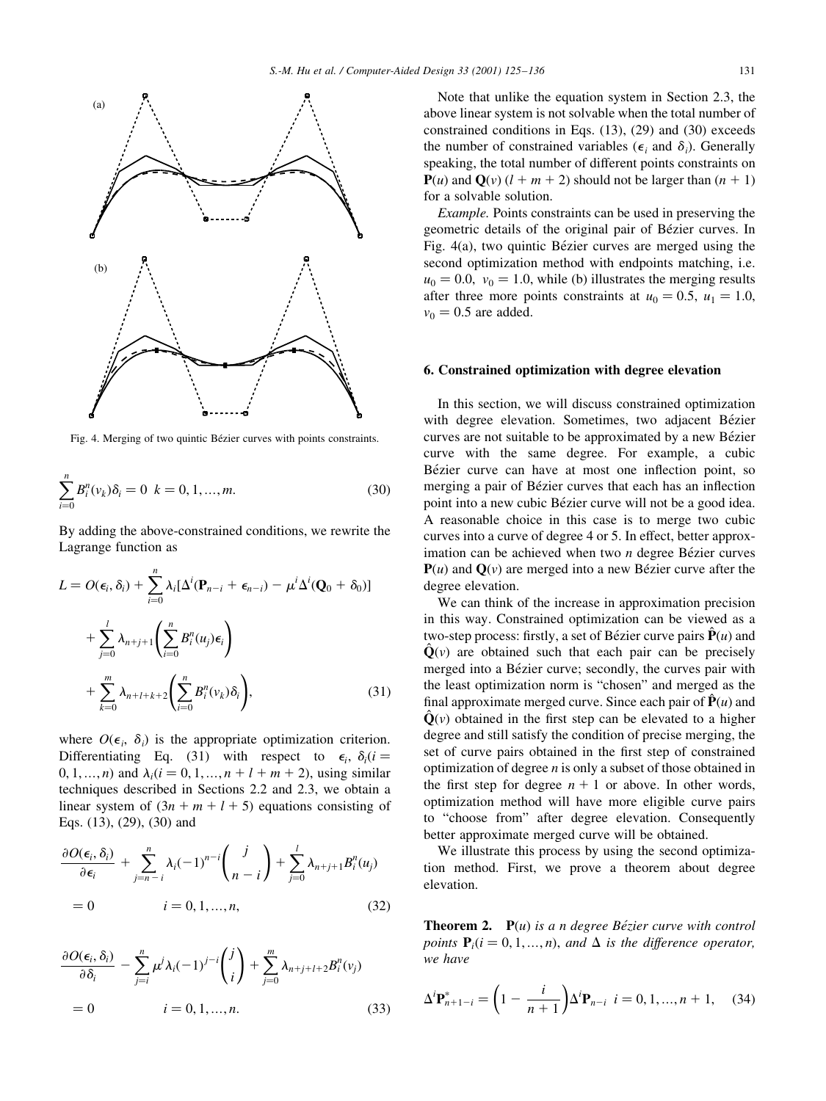

Fig. 4. Merging of two quintic Bézier curves with points constraints.

$$
\sum_{i=0}^{n} B_i^n(\nu_k) \delta_i = 0 \quad k = 0, 1, ..., m. \tag{30}
$$

By adding the above-constrained conditions, we rewrite the Lagrange function as

$$
L = O(\epsilon_i, \delta_i) + \sum_{i=0}^n \lambda_i [\Delta^i (\mathbf{P}_{n-i} + \epsilon_{n-i}) - \mu^i \Delta^i (\mathbf{Q}_0 + \delta_0)]
$$
  
+ 
$$
\sum_{j=0}^l \lambda_{n+j+1} \left( \sum_{i=0}^n B_i^n(u_j) \epsilon_i \right)
$$
  
+ 
$$
\sum_{k=0}^m \lambda_{n+l+k+2} \left( \sum_{i=0}^n B_i^n(v_k) \delta_i \right),
$$
 (31)

where  $O(\epsilon_i, \delta_i)$  is the appropriate optimization criterion. Differentiating Eq. (31) with respect to  $\epsilon_i$ ,  $\delta_i(i =$ 0, 1, ..., *n*) and  $\lambda_i$  ( $i = 0, 1, ..., n + l + m + 2$ ), using similar techniques described in Sections 2.2 and 2.3, we obtain a linear system of  $(3n + m + l + 5)$  equations consisting of Eqs. (13), (29), (30) and

$$
\frac{\partial O(\epsilon_i, \delta_i)}{\partial \epsilon_i} + \sum_{j=n-i}^n \lambda_i (-1)^{n-i} {j \choose n-i} + \sum_{j=0}^l \lambda_{n+j+1} B_i^n(u_j)
$$
  
= 0 \t\t\t $i = 0, 1, ..., n,$  (32)

$$
\frac{\partial O(\epsilon_i, \delta_i)}{\partial \delta_i} - \sum_{j=i}^n \mu^j \lambda_i (-1)^{j-i} {j \choose i} + \sum_{j=0}^m \lambda_{n+j+l+2} B_i^n(v_j)
$$
  
= 0 \t\t\t $i = 0, 1, ..., n.$  (33)

Note that unlike the equation system in Section 2.3, the above linear system is not solvable when the total number of constrained conditions in Eqs. (13), (29) and (30) exceeds the number of constrained variables ( $\epsilon_i$  and  $\delta_i$ ). Generally speaking, the total number of different points constraints on  ${\bf P}(u)$  and  ${\bf Q}(v)$  ( $l + m + 2$ ) should not be larger than  $(n + 1)$ for a solvable solution.

Example. Points constraints can be used in preserving the geometric details of the original pair of Bézier curves. In Fig.  $4(a)$ , two quintic Bézier curves are merged using the second optimization method with endpoints matching, i.e.  $u_0 = 0.0$ ,  $v_0 = 1.0$ , while (b) illustrates the merging results after three more points constraints at  $u_0 = 0.5$ ,  $u_1 = 1.0$ ,  $v_0 = 0.5$  are added.

## 6. Constrained optimization with degree elevation

In this section, we will discuss constrained optimization with degree elevation. Sometimes, two adjacent Bézier curves are not suitable to be approximated by a new Bézier curve with the same degree. For example, a cubic Bézier curve can have at most one inflection point, so merging a pair of Bézier curves that each has an inflection point into a new cubic Bézier curve will not be a good idea. A reasonable choice in this case is to merge two cubic curves into a curve of degree 4 or 5. In effect, better approximation can be achieved when two  $n$  degree Bézier curves  $P(u)$  and  $Q(v)$  are merged into a new Bézier curve after the degree elevation.

We can think of the increase in approximation precision in this way. Constrained optimization can be viewed as a two-step process: firstly, a set of Bézier curve pairs  $\hat{\mathbf{P}}(u)$  and  $\hat{Q}(v)$  are obtained such that each pair can be precisely merged into a Bézier curve; secondly, the curves pair with the least optimization norm is "chosen" and merged as the final approximate merged curve. Since each pair of  $\hat{\mathbf{P}}(u)$  and  $\hat{\mathbf{Q}}(v)$  obtained in the first step can be elevated to a higher degree and still satisfy the condition of precise merging, the set of curve pairs obtained in the first step of constrained optimization of degree  $n$  is only a subset of those obtained in the first step for degree  $n + 1$  or above. In other words, optimization method will have more eligible curve pairs to "choose from" after degree elevation. Consequently better approximate merged curve will be obtained.

We illustrate this process by using the second optimization method. First, we prove a theorem about degree elevation.

**Theorem 2.**  $P(u)$  is a n degree Bézier curve with control points  $P_i$  ( $i = 0, 1, ..., n$ ), and  $\Delta$  is the difference operator, we have

$$
\Delta^{i} \mathbf{P}_{n+1-i}^{*} = \left(1 - \frac{i}{n+1}\right) \Delta^{i} \mathbf{P}_{n-i} \quad i = 0, 1, ..., n+1, \quad (34)
$$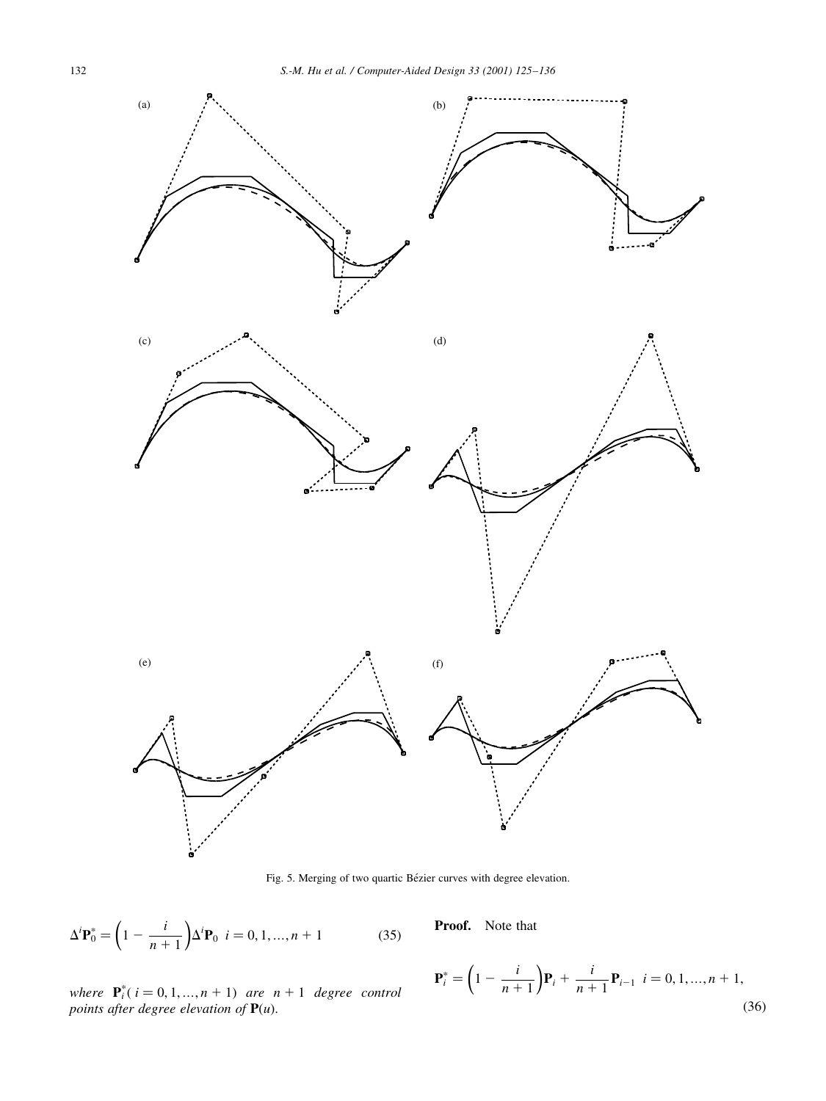

Fig. 5. Merging of two quartic Bézier curves with degree elevation.

$$
\Delta^{i} \mathbf{P}_{0}^{*} = \left(1 - \frac{i}{n+1}\right) \Delta^{i} \mathbf{P}_{0} \quad i = 0, 1, ..., n+1 \tag{35}
$$

Proof. Note that

where 
$$
\mathbf{P}_i^*(i = 0, 1, ..., n + 1)
$$
 are  $n + 1$  degree control points after degree elevation of  $\mathbf{P}(u)$ .

$$
\mathbf{P}_{i}^{*} = \left(1 - \frac{i}{n+1}\right) \mathbf{P}_{i} + \frac{i}{n+1} \mathbf{P}_{i-1} \quad i = 0, 1, ..., n+1,
$$
\n(36)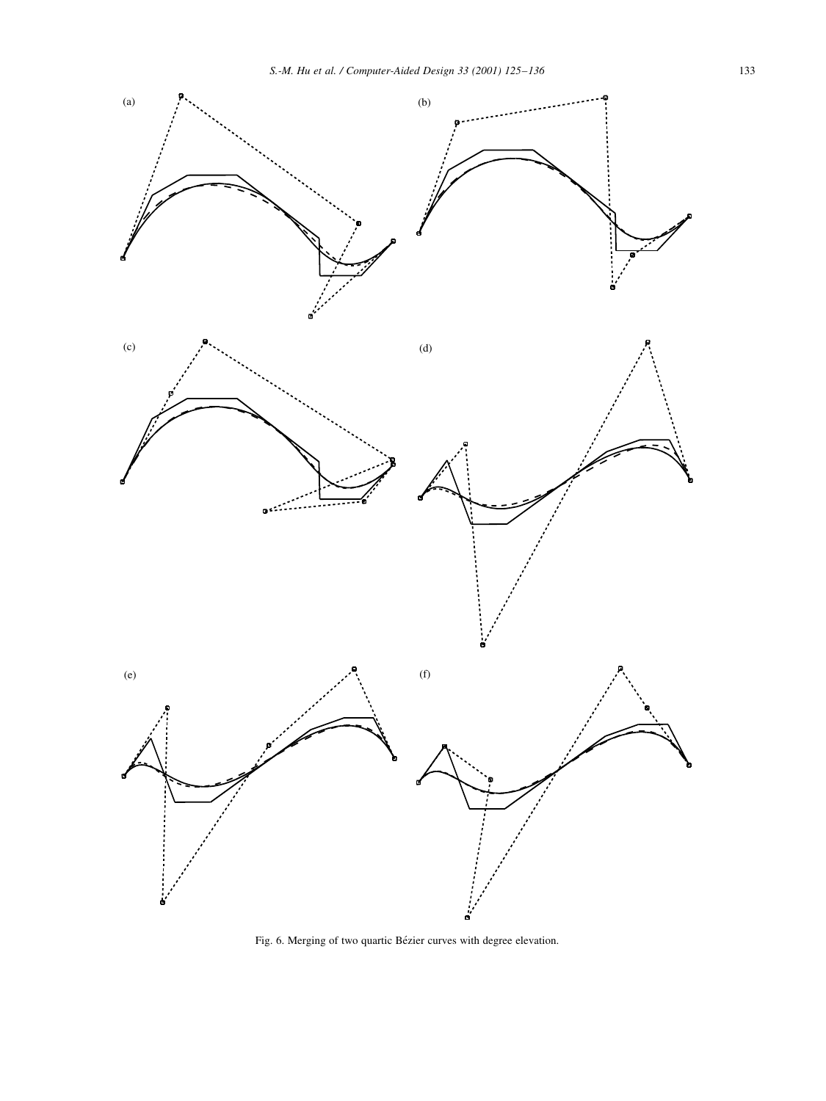

Fig. 6. Merging of two quartic Bézier curves with degree elevation.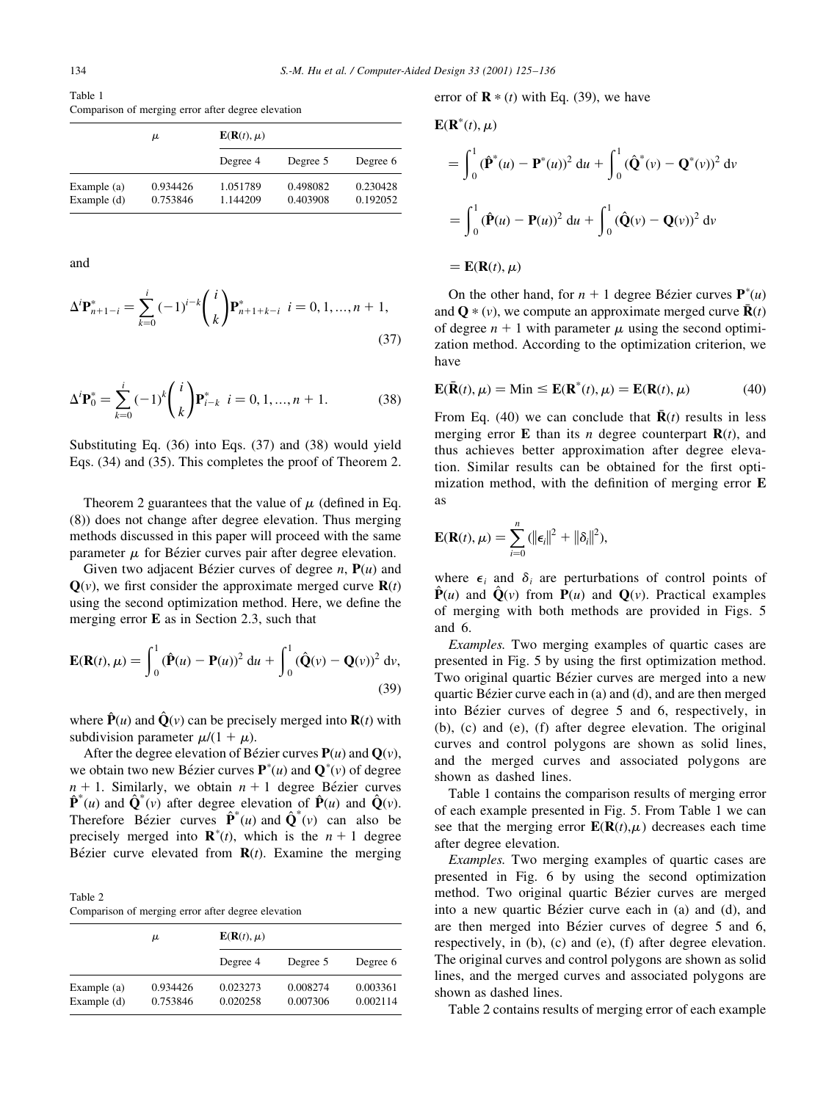Table 1 Comparison of merging error after degree elevation

|                                | μ                    | $\mathbf{E}(\mathbf{R}(t), \mu)$ |                      |                      |  |  |  |  |
|--------------------------------|----------------------|----------------------------------|----------------------|----------------------|--|--|--|--|
|                                |                      | Degree 4                         | Degree 5             | Degree 6             |  |  |  |  |
| Example $(a)$<br>Example $(d)$ | 0.934426<br>0.753846 | 1.051789<br>1.144209             | 0.498082<br>0.403908 | 0.230428<br>0.192052 |  |  |  |  |

and

$$
\Delta^i \mathbf{P}_{n+1-i}^* = \sum_{k=0}^i (-1)^{i-k} \binom{i}{k} \mathbf{P}_{n+1+k-i}^* \quad i = 0, 1, ..., n+1,
$$
\n(37)

$$
\Delta^i \mathbf{P}_0^* = \sum_{k=0}^i (-1)^k \binom{i}{k} \mathbf{P}_{i-k}^* \quad i = 0, 1, ..., n+1. \tag{38}
$$

Substituting Eq. (36) into Eqs. (37) and (38) would yield Eqs. (34) and (35). This completes the proof of Theorem 2.

Theorem 2 guarantees that the value of  $\mu$  (defined in Eq. (8)) does not change after degree elevation. Thus merging methods discussed in this paper will proceed with the same parameter  $\mu$  for Bézier curves pair after degree elevation.

Given two adjacent Bézier curves of degree  $n$ ,  $P(u)$  and  $\mathbf{Q}(v)$ , we first consider the approximate merged curve  $\mathbf{R}(t)$ using the second optimization method. Here, we define the merging error E as in Section 2.3, such that

$$
\mathbf{E}(\mathbf{R}(t), \mu) = \int_0^1 (\hat{\mathbf{P}}(u) - \mathbf{P}(u))^2 du + \int_0^1 (\hat{\mathbf{Q}}(v) - \mathbf{Q}(v))^2 dv,
$$
\n(39)

where  $\hat{\mathbf{P}}(u)$  and  $\hat{\mathbf{Q}}(v)$  can be precisely merged into  $\mathbf{R}(t)$  with subdivision parameter  $\mu/(1 + \mu)$ .

After the degree elevation of Bézier curves  $P(u)$  and  $Q(v)$ , we obtain two new Bézier curves  $\mathbf{P}^*(u)$  and  $\mathbf{Q}^*(v)$  of degree  $n + 1$ . Similarly, we obtain  $n + 1$  degree Bézier curves  $\hat{\mathbf{P}}^*(u)$  and  $\hat{\mathbf{Q}}^*(v)$  after degree elevation of  $\hat{\mathbf{P}}(u)$  and  $\hat{\mathbf{Q}}(v)$ . Therefore Bézier curves  $\hat{\mathbf{P}}^*(u)$  and  $\hat{\mathbf{Q}}^*(v)$  can also be precisely merged into  $\mathbf{R}^*(t)$ , which is the  $n + 1$  degree Bézier curve elevated from  $R(t)$ . Examine the merging

Table 2 Comparison of merging error after degree elevation

|                              | μ                    | $\mathbf{E}(\mathbf{R}(t), \mu)$ |                      |                      |  |  |  |  |
|------------------------------|----------------------|----------------------------------|----------------------|----------------------|--|--|--|--|
|                              |                      | Degree 4                         | Degree 5             | Degree 6             |  |  |  |  |
| Example (a)<br>Example $(d)$ | 0.934426<br>0.753846 | 0.023273<br>0.020258             | 0.008274<br>0.007306 | 0.003361<br>0.002114 |  |  |  |  |

error of  $\mathbf{R} * (t)$  with Eq. (39), we have

$$
\mathbf{E}(\mathbf{R}^*(t), \mu)
$$
  
=  $\int_0^1 (\hat{\mathbf{P}}^*(u) - \mathbf{P}^*(u))^2 du + \int_0^1 (\hat{\mathbf{Q}}^*(v) - \mathbf{Q}^*(v))^2 dv$   
=  $\int_0^1 (\hat{\mathbf{P}}(u) - \mathbf{P}(u))^2 du + \int_0^1 (\hat{\mathbf{Q}}(v) - \mathbf{Q}(v))^2 dv$   
=  $\mathbf{E}(\mathbf{R}(t), \mu)$ 

On the other hand, for  $n + 1$  degree Bézier curves  $\mathbf{P}^*(u)$ and  $\mathbf{Q} * (v)$ , we compute an approximate merged curve  $\mathbf{\bar{R}}(t)$ of degree  $n + 1$  with parameter  $\mu$  using the second optimization method. According to the optimization criterion, we have

$$
\mathbf{E}(\bar{\mathbf{R}}(t), \mu) = \text{Min} \le \mathbf{E}(\mathbf{R}^*(t), \mu) = \mathbf{E}(\mathbf{R}(t), \mu)
$$
(40)

From Eq. (40) we can conclude that  $\bar{\mathbf{R}}(t)$  results in less merging error **E** than its *n* degree counterpart  $\mathbf{R}(t)$ , and thus achieves better approximation after degree elevation. Similar results can be obtained for the first optimization method, with the definition of merging error  $E$ as

$$
\mathbf{E}(\mathbf{R}(t), \mu) = \sum_{i=0}^{n} (||\boldsymbol{\epsilon}_i||^2 + ||\boldsymbol{\delta}_i||^2),
$$

where  $\epsilon_i$  and  $\delta_i$  are perturbations of control points of  $\hat{\mathbf{P}}(u)$  and  $\hat{\mathbf{Q}}(v)$  from  $\mathbf{P}(u)$  and  $\mathbf{Q}(v)$ . Practical examples of merging with both methods are provided in Figs. 5 and 6.

Examples. Two merging examples of quartic cases are presented in Fig. 5 by using the first optimization method. Two original quartic Bézier curves are merged into a new quartic Bézier curve each in  $(a)$  and  $(d)$ , and are then merged into Bézier curves of degree 5 and 6, respectively, in (b), (c) and (e), (f) after degree elevation. The original curves and control polygons are shown as solid lines, and the merged curves and associated polygons are shown as dashed lines.

Table 1 contains the comparison results of merging error of each example presented in Fig. 5. From Table 1 we can see that the merging error  $\mathbf{E}(\mathbf{R}(t),\mu)$  decreases each time after degree elevation.

Examples. Two merging examples of quartic cases are presented in Fig. 6 by using the second optimization method. Two original quartic Bézier curves are merged into a new quartic Bézier curve each in (a) and (d), and are then merged into Bézier curves of degree 5 and 6, respectively, in (b), (c) and (e), (f) after degree elevation. The original curves and control polygons are shown as solid lines, and the merged curves and associated polygons are shown as dashed lines.

Table 2 contains results of merging error of each example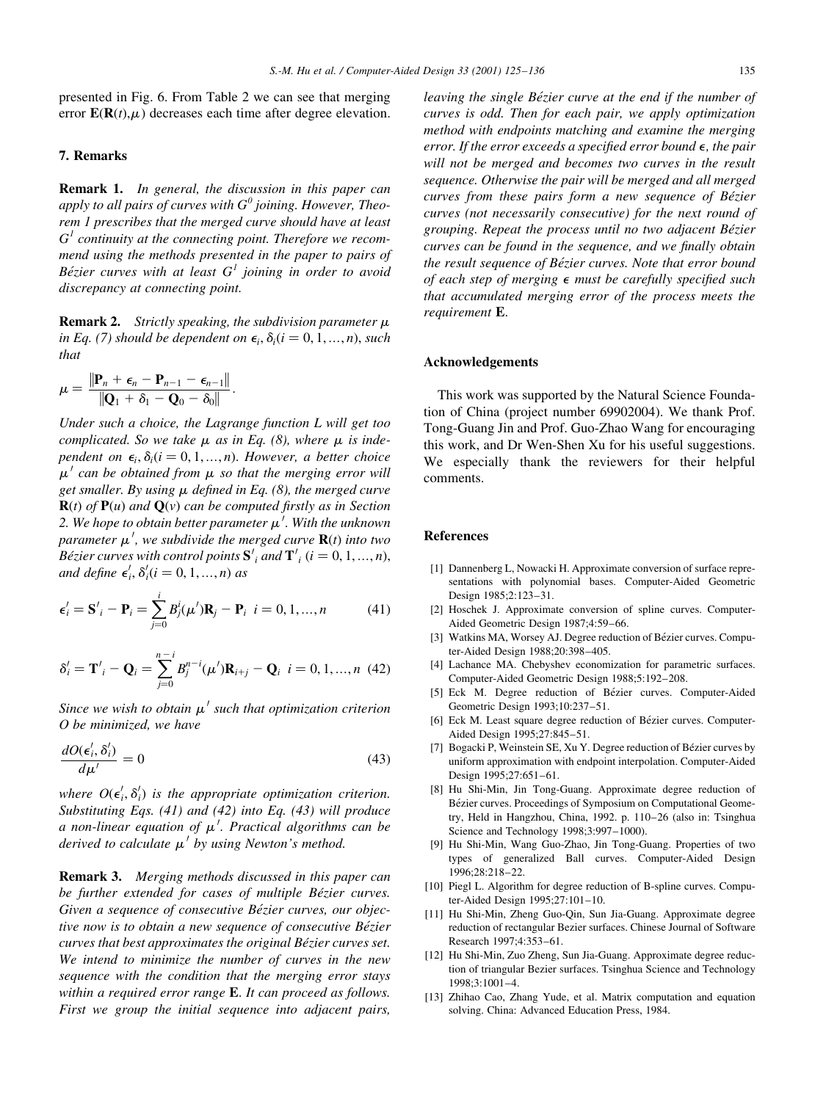presented in Fig. 6. From Table 2 we can see that merging error  $\mathbf{E}(\mathbf{R}(t),\mu)$  decreases each time after degree elevation.

# 7. Remarks

**Remark 1.** In general, the discussion in this paper can apply to all pairs of curves with  $G^0$  joining. However, Theorem 1 prescribes that the merged curve should have at least  $G<sup>1</sup>$  continuity at the connecting point. Therefore we recommend using the methods presented in the paper to pairs of Bézier curves with at least  $G<sup>1</sup>$  joining in order to avoid discrepancy at connecting point.

**Remark 2.** Strictly speaking, the subdivision parameter  $\mu$ in Eq. (7) should be dependent on  $\epsilon_i$ ,  $\delta_i$  (i = 0, 1, ..., n), such that

$$
\mu = \frac{\|\mathbf{P}_n + \boldsymbol{\epsilon}_n - \mathbf{P}_{n-1} - \boldsymbol{\epsilon}_{n-1}\|}{\|\mathbf{Q}_1 + \boldsymbol{\delta}_1 - \mathbf{Q}_0 - \boldsymbol{\delta}_0\|}.
$$

Under such a choice, the Lagrange function L will get too complicated. So we take  $\mu$  as in Eq. (8), where  $\mu$  is independent on  $\epsilon_i$ ,  $\delta_i$  ( $i = 0, 1, ..., n$ ). However, a better choice  $\mu'$  can be obtained from  $\mu$  so that the merging error will get smaller. By using  $\mu$  defined in Eq. (8), the merged curve  $\mathbf{R}(t)$  of  $\mathbf{P}(u)$  and  $\mathbf{Q}(v)$  can be computed firstly as in Section 2. We hope to obtain better parameter  $\mu'$ . With the unknown parameter  $\mu'$ , we subdivide the merged curve  ${\bf R}(t)$  into two Bézier curves with control points  ${\bf S'}_i$  and  ${\bf T'}_i$  ( $i = 0, 1, ..., n$ ), and define  $\epsilon'_i$ ,  $\delta'_i$  ( $i = 0, 1, ..., n$ ) as

$$
\epsilon'_{i} = \mathbf{S'}_{i} - \mathbf{P}_{i} = \sum_{j=0}^{i} B_{j}^{i}(\mu')\mathbf{R}_{j} - \mathbf{P}_{i} \quad i = 0, 1, ..., n \tag{41}
$$

$$
\delta'_{i} = \mathbf{T}'_{i} - \mathbf{Q}_{i} = \sum_{j=0}^{n-1} B_{j}^{n-i} (\mu') \mathbf{R}_{i+j} - \mathbf{Q}_{i} \ \ i = 0, 1, ..., n \ \ (42)
$$

Since we wish to obtain  $\mu'$  such that optimization criterion O be minimized, we have

$$
\frac{dO(\epsilon_i', \delta_i')}{d\mu'} = 0\tag{43}
$$

where  $O(\epsilon'_i, \delta'_i)$  is the appropriate optimization criterion. Substituting Eqs. (41) and (42) into Eq. (43) will produce a non-linear equation of  $\mu'$ . Practical algorithms can be derived to calculate  $\mu'$  by using Newton's method.

Remark 3. Merging methods discussed in this paper can be further extended for cases of multiple Bézier curves. Given a sequence of consecutive Bézier curves, our objective now is to obtain a new sequence of consecutive Bézier curves that best approximates the original Bézier curves set. We intend to minimize the number of curves in the new sequence with the condition that the merging error stays within a required error range **E**. It can proceed as follows. First we group the initial sequence into adjacent pairs,

leaving the single Bézier curve at the end if the number of curves is odd. Then for each pair, we apply optimization method with endpoints matching and examine the merging error. If the error exceeds a specified error bound  $\epsilon$ , the pair will not be merged and becomes two curves in the result sequence. Otherwise the pair will be merged and all merged curves from these pairs form a new sequence of Bézier curves (not necessarily consecutive) for the next round of grouping. Repeat the process until no two adjacent Bézier curves can be found in the sequence, and we finally obtain the result sequence of Bézier curves. Note that error bound of each step of merging  $\epsilon$  must be carefully specified such that accumulated merging error of the process meets the requirement E.

#### Acknowledgements

This work was supported by the Natural Science Foundation of China (project number 69902004). We thank Prof. Tong-Guang Jin and Prof. Guo-Zhao Wang for encouraging this work, and Dr Wen-Shen Xu for his useful suggestions. We especially thank the reviewers for their helpful comments.

## References

- [1] Dannenberg L, Nowacki H. Approximate conversion of surface representations with polynomial bases. Computer-Aided Geometric Design 1985;2:123-31.
- [2] Hoschek J. Approximate conversion of spline curves. Computer-Aided Geometric Design 1987;4:59-66.
- [3] Watkins MA, Worsey AJ. Degree reduction of Bézier curves. Computer-Aided Design 1988;20:398-405.
- [4] Lachance MA. Chebyshev economization for parametric surfaces. Computer-Aided Geometric Design 1988;5:192-208.
- [5] Eck M. Degree reduction of Bézier curves. Computer-Aided Geometric Design 1993;10:237-51.
- [6] Eck M. Least square degree reduction of Bézier curves. Computer-Aided Design 1995;27:845-51.
- [7] Bogacki P, Weinstein SE, Xu Y. Degree reduction of Bézier curves by uniform approximation with endpoint interpolation. Computer-Aided Design 1995;27:651-61.
- [8] Hu Shi-Min, Jin Tong-Guang. Approximate degree reduction of Bézier curves. Proceedings of Symposium on Computational Geometry, Held in Hangzhou, China, 1992. p. 110-26 (also in: Tsinghua Science and Technology 1998;3:997-1000).
- [9] Hu Shi-Min, Wang Guo-Zhao, Jin Tong-Guang. Properties of two types of generalized Ball curves. Computer-Aided Design 1996;28:218±22.
- [10] Piegl L. Algorithm for degree reduction of B-spline curves. Computer-Aided Design 1995;27:101-10.
- [11] Hu Shi-Min, Zheng Guo-Qin, Sun Jia-Guang. Approximate degree reduction of rectangular Bezier surfaces. Chinese Journal of Software Research 1997;4:353-61.
- [12] Hu Shi-Min, Zuo Zheng, Sun Jia-Guang. Approximate degree reduction of triangular Bezier surfaces. Tsinghua Science and Technology 1998;3:1001±4.
- [13] Zhihao Cao, Zhang Yude, et al. Matrix computation and equation solving. China: Advanced Education Press, 1984.